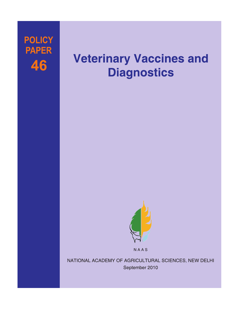## **POLICY PAPER** 46

# **Veterinary Vaccines and Diagnostics**



NAAS

NATIONAL ACADEMY OF AGRICULTURAL SCIENCES, NEW DELHI September 2010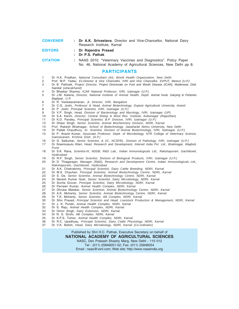| <b>CONVENER</b> | : Dr A.K. Srivastava, Director and Vice-Chancellor, National Dairy |
|-----------------|--------------------------------------------------------------------|
|                 | Research Institute, Karnal                                         |
| <b>EDITORS</b>  | : Dr Rajendra Prasad                                               |

#### **: Dr P.S. Pathak**

**CITATION :** NAAS 2010. "Veterinary Vaccines and Diagnostics". Policy Paper No. 46, National Academy of Agricultural Sciences, New Delhi pp 8.

#### **PARTICIPANTS**

- 1 Dr H.K. Pradhan, *National Consultant (AI), World Health Organization, New Delhi*
- 2 Prof. M.P. Yadav, *Ex-Director & Vice Chancellor, IVRI and Vice Chancellor, SVPUT, Meerut (U.P.)*
- 3 Dr B. Pattnaik, *Project Director, Project Directorate on Foot and Mouth Disease (ICAR), Mukteswar, Distt. Nainital (uttarakhand)*
- 4 Dr Bhaskar Sharma, *ICAR National Professor, IVRI, Izatnagar (U.P.)*
- 5 Dr J.M. Kataria, *Director, National Institute of Animal Health, Deptt. Animal Husb. Dairying & Fisheries Baghpat, U.P.*
- 6 Dr R. Venkataramanan, *Jt. Director, IVRI, Bangalore*
- 7 Dr C.G. Joshi, *Professor & Head, Animal Biotechnology, Gujarat Agricultural University, Anand*
- 8 Dr P. Joshi, *Principal Scientist, IVRI, Izatnagar (U.P.)*
- 9 Dr V.P. Singh, *Head, Division of Bacteriology and Mycology, IVRI, Izatnagar (UP)*
- 10 Dr S.A. Karim, *Director, Central Sheep & Wool Res. Institute, Avikanagar (Rajasthan)*
- 11 Dr K.D. Pandey, *Principal Scientist, B.P. Division, IVRI, Izatnagar (U.P.)*
- 12 Dr Dheer Singh, *Senior Scientist, Animal Biochemistry Division, NDRI, Karnal*
- 13 Prof. Rakesh Bhatnagar, *School of Biotechnology, Jawaharlal Nehru University, New Delhi*
- 14 Dr Pallab Chaudhury, *Sr. Scientist, Division of Animal Biotechnology, IVRI, Izatnagar, (U.P.)*
- 15 Dr P. Anand Kumar, *Associate Professor, Deptt. of Microbiology, NTR College of Veterinary Science, Gannavaram, Krishna Distt. (A.P.)*
- 16 Dr G. Saikumar, *Senior Scientist, & I/C, NCSFRL, Division of Pathology, IVRI, Izatnagar (U.P.)* 17 Dr Sreenivasulu Kilari, *Head, Research and Development, Intervet India Pvt. Ltd., Briahnagar, Wagholi,*
- *Pune*
- 18 Dr S.K. Rana, *Scientist-III, NDDB, R&D Lab., Indian Immunologicals Ltd., Rakshapuram, Gachibowli, Hyderabad*
- 19 Dr R.P. Singh, *Senior Scientist, Division of Biological Products, IVRI, Izatnagar (U.P.)*
- 20 Dr D. Thiagarajan, *Manager (R&D), Research and Development Centre, Indian Immunologicals Ltd., Rakshapuram, Gachibowli, Hyderabad*
- 21 Dr A.K. Chakraborty, *Principal Scientist, Dairy Cattle Breeding, NDRI, Karnal*
- 22 Dr M.S. Chauhan, *Principal Scientist, Animal Biotechnology Centre, NDRI, Karnal*
- 23 Dr S. De, *Senior Scientist, Animal Biotechnology Centre, NDRI, Karnal*
- 24 Dr Naresh Kumar Goel, *Senior Scientist, Dairy Microbiology, NDRI, Karnal*
- 25 Dr Sunita Grover, *Principal Scientist, Dairy Microbiology, NDRI, Karnal*
- 26 Dr Parveen Kumar, *Animal Health Complex, NDRI, Karnal*
- 27 Dr Dhruba Malakar, *Senior Scientist, Animal Biotechnology Centre, NDRI, Karnal*
- 28 Dr A.K. Mohanty, *Senior Scientist, Animal Biotechnology Centre, NDRI, Karnal*
- 29 Dr T.K. Mohanty, *Senior Scientist, AB Complex, NDRI, Karnal*
- 30 Dr Shiv Prasad, *Principal Scientist and Head, Livestock Production & Management, NDRI, Karnal*
- 31 Dr J. K. Pundir, *Animal Health Complex, NDRI, Karnal*
- 32 Dr S. Raju, *Animal Health Complex, NDRI, Karnal*
- 33 Dr Omvir Singh, *Dairy Extension, NDRI, Karnal*
- 34 Dr N. S. Sirohi, *AB Complex, NDRI, Karnal*
- 35 Dr K.P.S. Tomer, *Animal Health Complex, NDRI, Karnal*
- 36 Dr R.C. Upadhyay, *Principal Scientist, Dairy Cattle Physiology, NDRI, Karnal*
- 37 Dr V.K. Batish, *Head, Dairy Microbiology, NDRI, Karnal (Co-ordinator)*

#### Published by Shri H.C. Pathak, Executive Secretary on behalf of **NATIONAL ACADEMY OF AGRICULTURAL SCIENCES**

NASC, Dev Prakash Shastry Marg, New Delhi - 110 012

Tel : (011) 25846051-52; Fax: (011) 25846054

Email : naas@vsnl.com; Web site: http://www.naasindia.org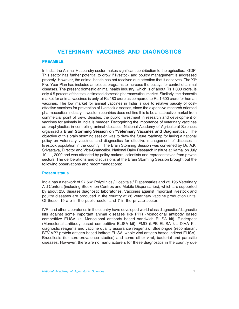### **VETERINARY VACCINES AND DIAGNOSTICS**

#### **PREAMBLE**

In India, the Animal Husbandry sector makes significant contribution to the agricultural GDP. This sector has further potential to grow if livestock and poultry management is addressed properly. However, the animal health has not received due attention that it deserves. The  $XI<sup>th</sup>$ Five Year Plan has included ambitious programs to increase the outlays for control of animal diseases. The present domestic animal health industry, which is of about Rs 1,000 crore, is only 4.5 percent of the total estimated domestic pharmaceutical market. Similarly, the domestic market for animal vaccines is only of Rs 180 crore as compared to Rs 1,600 crore for human vaccines. The low market for animal vaccines in India is due to relative paucity of costeffective vaccines for prevention of livestock diseases, since the expensive research oriented pharmaceutical industry in western countries does not find this to be an attractive market from commercial point of view. Besides, the public investment in research and development of vaccines for animals in India is meager. Recognizing the importance of veterinary vaccines as prophylactics in controlling animal diseases, National Academy of Agricultural Sciences organized a **Brain Storming Session on "Veterinary Vaccines and Diagnostics**". The objective of this brain storming session was to draw the future roadmap for laying a national policy on veterinary vaccines and diagnostics for effective management of diseases in livestock population in the country. The Brain Storming Session was convened by Dr. A.K. Srivastava, Director and Vice-Chancellor, National Dairy Research Institute at Karnal on July 10-11, 2009 and was attended by policy makers, scientists and representatives from private sectors. The deliberations and discussions at the Brain Storming Session brought out the following observations and recommendations:

#### **Present status**

India has a network of 27,562 Polyclinics / Hospitals / Dispensaries and 25,195 Veterinary Aid Centers (including Stockmen Centres and Mobile Dispensaries), which are supported by about 250 disease diagnostic laboratories. Vaccines against important livestock and poultry diseases are produced in the country at 26 veterinary vaccine production units. Of these, 19 are in the public sector and 7 in the private sector.

IVRI and other laboratories in the country have developed world-class diagnostics/diagnostic kits against some important animal diseases like PPR (Monoclonal antibody based competitive ELISA kit, Monoclonal antibody based sandwich ELISA kit), Rinderpest (Monoclonal antibody based competitive ELISA kit), FMD (LPB ELISA kit, DIVA Kit, diagnostic reagents and vaccine quality assurance reagents), Bluetongue (recombinant BTV VP7 protein antigen-based indirect ELISA, whole viral antigen based indirect ELISA), Brucellosis (for sero-prevalence studies) and some other viral, bacterial and parasitic diseases. However, there are no manufacturers for these diagnostics in the country due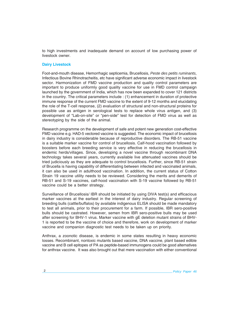to high investments and inadequate demand on account of low purchasing power of livestock owner.

#### **Dairy Livestock**

Foot-and-mouth disease, Hemorrhagic septicemia, Brucellosis, *Peste des petits ruminants*, Infectious Bovine Rhinotracheitis, etc have significant adverse economic impact in livestock sector. Harmonization of FMD vaccine production and quality control parameters are important to produce uniformly good quality vaccine for use in FMD control campaign launched by the government of India, which has now been expanded to cover 121 districts in the country. The critical parameters include : (1) enhancement in duration of protective immune response of the current FMD vaccine to the extent of 9-12 months and elucidating the role of the T-cell response, (2) evaluation of structural and non-structural proteins for possible use as antigen in serological tests to replace whole virus antigen, and (3) development of "Lab-on-site" or "pen-side" test for detection of FMD virus as well as stereotyping by the side of the animal.

Research programme on the development of safe and potent new generation cost-effective FMD vaccine e.g. HAD-5 vectored vaccine is suggested. The economic impact of brucellosis in dairy industry is considerable because of reproductive disorders. The RB-51 vaccine is a suitable marker vaccine for control of brucellosis. Calf-hood vaccination followed by boosters before each breeding service is very effective in reducing the brucellosis in endemic herds/villages. Since, developing a novel vaccine through recombinant DNA technology takes several years, currently available live attenuated vaccines should be tried judiciously as they are adequate to control brucellosis. Further, since RB-51 strain of Brucella is having capability of differentiating between infected and vaccinated animals, it can also be used in adulthood vaccination. In addition, the current status of Cotton Strain 19 vaccine utility needs to be reviewed. Considering the merits and demerits of RB-51 and S-19 vaccines, calf-hood vaccination with S-19 vaccine followed by RB-51 vaccine could be a better strategy.

Surveillance of Brucellosis/ IBR should be initiated by using DIVA test(s) and efficacious marker vaccines at the earliest in the interest of dairy industry. Regular screening of breeding bulls (cattle/buffalos) by available indigenous ELISA should be made mandatory to test all animals, prior to their procurement for a farm. If possible, IBR sero-positive bulls should be castrated. However, semen from IBR sero-positive bulls may be used after screening for BHV-1 virus. Marker vaccine with gE deletion mutant strains of BHV-1 is reported to be the vaccine of choice and therefore, work on development of marker vaccine and companion diagnostic test needs to be taken up on priority.

Anthrax, a zoonotic disease, is endemic in some states resulting in heavy economic losses. Recombinant, nontoxic mutants based vaccine, DNA vaccine, plant based edible vaccine and B cell epitopes of PA as peptide-based immunogens could be good alternatives for anthrax vaccine. It was also brought out that mere vaccination with either conventional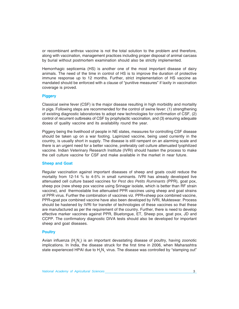or recombinant anthrax vaccine is not the total solution to the problem and therefore, along with vaccination, management practices including proper disposal of animal carcass by burial without postmortem examination should also be strictly implemented.

Hemorrhagic septicemia (HS) is another one of the most important disease of dairy animals. The need of the time in control of HS is to improve the duration of protective immune response up to 12 months. Further, strict implementation of HS vaccine as mandated should be enforced with a clause of "punitive measures" if laxity in vaccination coverage is proved.

#### **Piggery**

Classical swine fever (CSF) is the major disease resulting in high morbidity and mortality in pigs. Following steps are recommended for the control of swine fever: (1) strengthening of existing diagnostic laboratories to adopt new technologies for confirmation of CSF, (2) control of recurrent outbreaks of CSF by prophylactic vaccination, and (3) ensuring adequate doses of quality vaccine and its availability round the year.

Piggery being the livelihood of people in NE states, measures for controlling CSF disease should be taken up on a war footing. Lapinized vaccine, being used currently in the country, is usually short in supply. The disease is still rampant on an alarming scale and there is an urgent need for a better vaccine, preferably cell culture attenuated lyophilized vaccine. Indian Veterinary Research Institute (IVRI) should hasten the process to make the cell culture vaccine for CSF and make available in the market in near future.

#### **Sheep and Goat**

Regular vaccination against important diseases of sheep and goats could reduce the mortality from 12-14 % to 4-5% in small ruminants. IVRI has already developed live attenuated cell culture based vaccines for *Pest des Petits Ruminants* (PPR), goat pox, sheep pox (new sheep pox vaccine using Srinagar isolate, which is better than RF strain vaccine), and thermostable live attenuated PPR vaccines using sheep and goat strains of PPR virus. Further the combination of vaccines viz. PPR+sheep pox combined vaccine, PPR+goat pox combined vaccine have also been developed by IVRI, Mukteswar. Process should be hastened by IVRI for transfer of technologies of these vaccines so that these are manufactured as per the requirement of the country. Further, there is need to develop effective marker vaccines against PPR, Bluetongue, ET, Sheep pox, goat pox, JD and CCPP. The confirmatory diagnostic DIVA tests should also be developed for important sheep and goat diseases.

#### **Poultry**

Avian influenza ( $H_{5}N_{1}$ ) is an important devastating disease of poultry, having zoonotic implications. In India, the disease struck for the first time in 2006, when Maharashtra state experienced HPAI due to  $H<sub>e</sub>N<sub>i</sub>$  virus. The disease was controlled by "stamping out"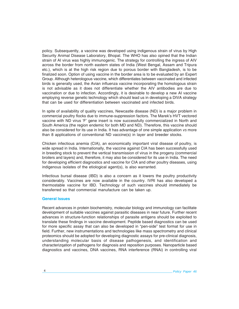policy. Subsequently, a vaccine was developed using indigenous strain of virus by High Security Animal Disease Laboratory, Bhopal. The WHO has also opined that the Indian strain of AI virus was highly immunogenic. The strategy for controlling the ingress of AIV across the border from north eastern states of India (West Bengal, Assam and Tripura etc.), which is at the high risk region due to porous border with Bangladesh, is to be finalized soon. Option of using vaccine in the border area is to be evaluated by an Expert Group. Although heterologous vaccine, which differentiates between vaccinated and infected birds is generally used, the Avian influenza vaccine incorporating the homologous strain is not advisable as it does not differentiate whether the AIV antibodies are due to vaccination or due to infection. Accordingly, it is desirable to develop a new AI vaccine employing reverse genetic technology which should lead us in developing a DIVA strategy that can be used for differentiation between vaccinated and infected birds.

In spite of availability of quality vaccines, Newcastle disease (ND) is a major problem in commercial poultry flocks due to immune-suppression factors. The Marek's HVT vectored vaccine with ND virus 'F' gene insert is now successfully commercialized in North and South America (the region endemic for both MD and ND). Therefore, this vaccine should also be considered for its use in India. It has advantage of one simple application *vs* more than 8 applications of conventional ND vaccine(s) in layer and breeder stocks.

Chicken infectious anemia (CIA), an economically important viral disease of poultry, is wide spread in India. Internationally, the vaccine against CIA has been successfully used in breeding stock to prevent the vertical transmission of virus in the progeny (commercial broilers and layers) and, therefore, it may also be considered for its use in India. The need for developing efficient diagnostics and vaccine for CIA and other poultry diseases, using indigenous isolates of the etiological agent(s), is also warranted.

Infectious bursal disease (IBD) is also a concern as it lowers the poultry productivity considerably. Vaccines are now available in the country. IVRI has also developed a thermostable vaccine for IBD. Technology of such vaccines should immediately be transferred so that commercial manufacture can be taken up.

#### **General Issues**

Recent advances in protein biochemistry, molecular biology and immunology can facilitate development of suitable vaccines against parasitic diseases in near future. Further recent advances in structure-function relationships of parasite antigens should be exploited to translate these findings in vaccine development. Peptide based diagnostics can be used for more specific assay that can also be developed in "pen-side" test format for use in field. Further, new instrumentations and technologies like mass spectrometry and clinical proteomics should be adopted for developing diagnostic assays for pre-clinical diagnosis, understanding molecular basis of disease pathogenesis, and identification and characterizqation of pathogens for diagnosis and reposition purposes. Nanoparticle based diagnostics and vaccines, DNA vaccines, RNA interference (RNAi) in controlling viral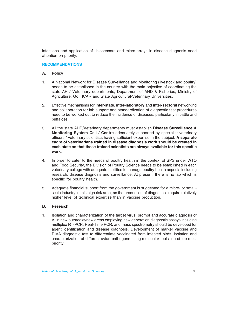infections and application of biosensors and micro-arrays in disease diagnosis need attention on priority.

#### **RECOMMENDATIONS**

#### **A. Policy**

- 1. A National Network for Disease Surveillance and Monitoring (livestock and poultry) needs to be established in the country with the main objective of coordinating the state AH / Veterinary departments, Department of AHD & Fisheries, Ministry of Agriculture, GoI, ICAR and State Agricultural/Veterinary Universities.
- 2. Effective mechanisms for **inter-state**, **inter-laboratory** and **inter-sectoral** networking and collaboration for lab support and standardization of diagnostic test procedures need to be worked out to reduce the incidence of diseases, particularly in cattle and buffaloes.
- 3. All the state AHD/Veterinary departments must establish **Disease Surveillance & Monitoring System Cell / Centre** adequately supported by specialist veterinary officers / veterinary scientists having sufficient expertise in the subject. **A separate cadre of veterinarians trained in disease diagnosis work should be created in each state so that these trained scientists are always available for this specific work.**
- 4. In order to cater to the needs of poultry health in the context of SPS under WTO and Food Security, the Division of Poultry Science needs to be established in each veterinary college with adequate facilities to manage poultry health aspects including research, disease diagnosis and surveillance. At present, there is no lab which is specific for poultry health.
- 5. Adequate financial support from the government is suggested for a micro- or smallscale industry in this high risk area, as the production of diagnostics require relatively higher level of technical expertise than in vaccine production.

#### **B. Research**

1. Isolation and characterization of the target virus, prompt and accurate diagnosis of AI in new outbreaks/new areas employing new generation diagnostic assays including multiplex RT-PCR, Real-Time PCR, and mass spectrometry should be developed for agent identification and disease diagnosis. Development of marker vaccine and DIVA diagnostic test to differentiate vaccinated from infected birds, isolation and characterization of different avian pathogens using molecular tools need top most priority.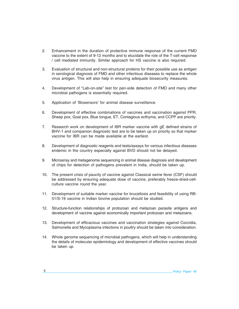- 2. Enhancement in the duration of protective immune response of the current FMD vaccine to the extent of 9-12 months and to elucidate the role of the T-cell response / cell mediated immunity. Similar approach for HS vaccine is also required.
- 3. Evaluation of structural and non-structural proteins for their possible use as antigen in serological diagnosis of FMD and other infectious diseases to replace the whole virus antigen. This will also help in ensuring adequate biosecurity measures.
- 4. Development of "Lab-on-site" test for pen-side detection of FMD and many other microbial pathogens is essentially required.
- 5. Application of 'Biosensors' for animal disease surveillance.
- 6. Development of effective combinations of vaccines and vaccination against PPR, Sheep pox, Goat pox, Blue tongue, ET, Contagious ecthyma, and CCPP are priority.
- 7. Research work on development of IBR marker vaccine with gE defined strains of BHV-1 and companion diagnostic test are to be taken up on priority so that marker vaccine for IBR can be made available at the earliest.
- 8. Development of diagnostic reagents and tests/assays for various infectious diseases endemic in the country especially against BVD should not be delayed.
- 9. Microarray and metagenome sequencing in animal disease diagnosis and development of chips for detection of pathogens prevalent in India, should be taken up.
- 10. The present crisis of paucity of vaccine against Classical swine fever (CSF) should be addressed by ensuring adequate dose of vaccine, preferably freeze-dried-cellculture vaccine round the year.
- 11. Development of suitable marker vaccine for brucellosis and feasibility of using RB-51/S-19 vaccine in Indian bovine population should be studied.
- 12. Structure-function relationships of protozoan and metazoan parasite antigens and development of vaccine against economically important protozoan and metazoans.
- 13. Development of efficacious vaccines and vaccination strategies against Coccidia, Salmonella and Mycoplasma infections in poultry should be taken into consideration.
- 14. Whole genome sequencing of microbial pathogens, which will help in understanding the details of molecular epidemiology and development of effective vaccines should be taken up.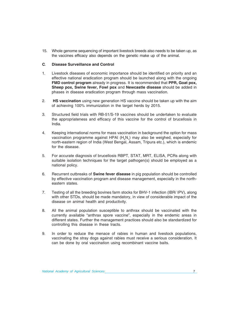15. Whole genome sequencing of important livestock breeds also needs to be taken up, as the vaccines efficacy also depends on the genetic make up of the animal.

#### **C**. **Disease Surveillance and Control**

- 1. Livestock diseases of economic importance should be identified on priority and an effective national eradication program should be launched along with the ongoing **FMD control program** already in progress. It is recommended that **PPR, Goat pox, Sheep pox, Swine fever, Fowl pox** and **Newcastle disease** should be added in phases in disease eradication program through mass vaccination.
- 2. **HS vaccination** using new generation HS vaccine should be taken up with the aim of achieving 100% immunization in the target herds by 2015.
- 3. Structured field trials with RB-51/S-19 vaccines should be undertaken to evaluate the appropriateness and efficacy of this vaccine for the control of brucellosis in India.
- 4. Keeping international norms for mass vaccination in background the option for mass vaccination programme against HPAI  $(H<sub>e</sub>N<sub>i</sub>)$  may also be weighed, especially for north-eastern region of India (West Bengal, Assam, Tripura etc.), which is endemic for the disease.
- 5. For accurate diagnosis of brucellosis RBPT, STAT, MRT, ELISA, PCRs along with suitable isolation techniques for the target pathogen(s) should be employed as a national policy.
- 6. Recurrent outbreaks of **Swine fever disease** in pig population should be controlled by effective vaccination program and disease management, especially in the northeastern states.
- 7. Testing of all the breeding bovines farm stocks for BHV-1 infection (IBR/ IPV), along with other STDs, should be made mandatory, in view of considerable impact of the disease on animal health and productivity.
- 8. All the animal population susceptible to anthrax should be vaccinated with the currently available "anthrax spore vaccine", especially in the endemic areas in different states. Further the management practices should also be standardized for controlling this disease in these tracts.
- 9. In order to reduce the menace of rabies in human and livestock populations, vaccinating the stray dogs against rabies must receive a serious consideration. It can be done by oral vaccination using recombinant vaccine baits.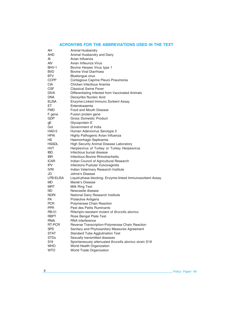#### **ACRONYMS FOR THE ABBREVIATIONS USED IN THE TEXT**

| AΗ<br>Animal Husbandry<br>AHD<br>Animal Husbandry and Dairy<br>AI<br>Avian Influenza<br>AIV<br>Avian Infleunza Virus<br>BHV-1<br>Bovine Herpes Virus type 1<br><b>BVD</b><br>Bovine Viral Diarrhoea<br><b>BTV</b><br>Bluetongue virus<br><b>CCPP</b><br>Contagious Caprine Pleuro Pneumonia<br><b>CIA</b><br>Chicken Infectious Anemia<br>CSF<br><b>Classical Swine Fever</b><br>DIVA<br>Differentiating Infected from Vaccinated Animals<br><b>DNA</b><br>Deoxyribo Nucleic Acid<br><b>ELISA</b><br>Enzyme-Linked Immuno Sorbent Assay<br>ET<br>Enterotoxaemia<br><b>FMD</b><br>Food and Mouth Disease<br>F gene<br>Fusion protein gene<br><b>GDP</b><br><b>Gross Domestic Product</b><br>Glycoprotein E<br>gΕ<br>Gol<br>Government of India<br>HAD-5<br>Human Adenovirus Serotype 5<br><b>HPAI</b><br>Highly Pathogenic Avian Influenza<br>HS<br>Haemorrhagic Septicemia |
|----------------------------------------------------------------------------------------------------------------------------------------------------------------------------------------------------------------------------------------------------------------------------------------------------------------------------------------------------------------------------------------------------------------------------------------------------------------------------------------------------------------------------------------------------------------------------------------------------------------------------------------------------------------------------------------------------------------------------------------------------------------------------------------------------------------------------------------------------------------------------|
|                                                                                                                                                                                                                                                                                                                                                                                                                                                                                                                                                                                                                                                                                                                                                                                                                                                                            |
|                                                                                                                                                                                                                                                                                                                                                                                                                                                                                                                                                                                                                                                                                                                                                                                                                                                                            |
|                                                                                                                                                                                                                                                                                                                                                                                                                                                                                                                                                                                                                                                                                                                                                                                                                                                                            |
|                                                                                                                                                                                                                                                                                                                                                                                                                                                                                                                                                                                                                                                                                                                                                                                                                                                                            |
|                                                                                                                                                                                                                                                                                                                                                                                                                                                                                                                                                                                                                                                                                                                                                                                                                                                                            |
|                                                                                                                                                                                                                                                                                                                                                                                                                                                                                                                                                                                                                                                                                                                                                                                                                                                                            |
|                                                                                                                                                                                                                                                                                                                                                                                                                                                                                                                                                                                                                                                                                                                                                                                                                                                                            |
|                                                                                                                                                                                                                                                                                                                                                                                                                                                                                                                                                                                                                                                                                                                                                                                                                                                                            |
|                                                                                                                                                                                                                                                                                                                                                                                                                                                                                                                                                                                                                                                                                                                                                                                                                                                                            |
|                                                                                                                                                                                                                                                                                                                                                                                                                                                                                                                                                                                                                                                                                                                                                                                                                                                                            |
|                                                                                                                                                                                                                                                                                                                                                                                                                                                                                                                                                                                                                                                                                                                                                                                                                                                                            |
|                                                                                                                                                                                                                                                                                                                                                                                                                                                                                                                                                                                                                                                                                                                                                                                                                                                                            |
|                                                                                                                                                                                                                                                                                                                                                                                                                                                                                                                                                                                                                                                                                                                                                                                                                                                                            |
|                                                                                                                                                                                                                                                                                                                                                                                                                                                                                                                                                                                                                                                                                                                                                                                                                                                                            |
|                                                                                                                                                                                                                                                                                                                                                                                                                                                                                                                                                                                                                                                                                                                                                                                                                                                                            |
|                                                                                                                                                                                                                                                                                                                                                                                                                                                                                                                                                                                                                                                                                                                                                                                                                                                                            |
|                                                                                                                                                                                                                                                                                                                                                                                                                                                                                                                                                                                                                                                                                                                                                                                                                                                                            |
|                                                                                                                                                                                                                                                                                                                                                                                                                                                                                                                                                                                                                                                                                                                                                                                                                                                                            |
|                                                                                                                                                                                                                                                                                                                                                                                                                                                                                                                                                                                                                                                                                                                                                                                                                                                                            |
|                                                                                                                                                                                                                                                                                                                                                                                                                                                                                                                                                                                                                                                                                                                                                                                                                                                                            |
|                                                                                                                                                                                                                                                                                                                                                                                                                                                                                                                                                                                                                                                                                                                                                                                                                                                                            |
|                                                                                                                                                                                                                                                                                                                                                                                                                                                                                                                                                                                                                                                                                                                                                                                                                                                                            |
| <b>HSADL</b><br><b>High Security Animal Disease Laboratory</b>                                                                                                                                                                                                                                                                                                                                                                                                                                                                                                                                                                                                                                                                                                                                                                                                             |
| HVT<br>Herpesvirus of Turkey or Turkey Herpesvirus                                                                                                                                                                                                                                                                                                                                                                                                                                                                                                                                                                                                                                                                                                                                                                                                                         |
| Infectious bursal disease<br>IBD.                                                                                                                                                                                                                                                                                                                                                                                                                                                                                                                                                                                                                                                                                                                                                                                                                                          |
| Infectious Bovine Rhinotracheitis<br>IBR.                                                                                                                                                                                                                                                                                                                                                                                                                                                                                                                                                                                                                                                                                                                                                                                                                                  |
| ICAR.<br>Indian Council of Agricultural Research                                                                                                                                                                                                                                                                                                                                                                                                                                                                                                                                                                                                                                                                                                                                                                                                                           |
| <b>IPV</b><br>Infections Pustular Vulvovaginitis                                                                                                                                                                                                                                                                                                                                                                                                                                                                                                                                                                                                                                                                                                                                                                                                                           |
| <b>IVRI</b><br>Indian Veterinary Research Institute                                                                                                                                                                                                                                                                                                                                                                                                                                                                                                                                                                                                                                                                                                                                                                                                                        |
| JD<br>Johne's Disease                                                                                                                                                                                                                                                                                                                                                                                                                                                                                                                                                                                                                                                                                                                                                                                                                                                      |
| LPB-ELISA<br>Liquid-phase blocking- Enzyme-linked Immunosorbent Assay                                                                                                                                                                                                                                                                                                                                                                                                                                                                                                                                                                                                                                                                                                                                                                                                      |
| Marek's Disease<br>MD                                                                                                                                                                                                                                                                                                                                                                                                                                                                                                                                                                                                                                                                                                                                                                                                                                                      |
| MRT<br>Milk Ring Test                                                                                                                                                                                                                                                                                                                                                                                                                                                                                                                                                                                                                                                                                                                                                                                                                                                      |
| ND<br>Newcastle disease                                                                                                                                                                                                                                                                                                                                                                                                                                                                                                                                                                                                                                                                                                                                                                                                                                                    |
| NDRI<br>National Dairy Research Institute                                                                                                                                                                                                                                                                                                                                                                                                                                                                                                                                                                                                                                                                                                                                                                                                                                  |
| PA<br><b>Protective Antigens</b>                                                                                                                                                                                                                                                                                                                                                                                                                                                                                                                                                                                                                                                                                                                                                                                                                                           |
| PCR<br>Polymerase Chain Reaction                                                                                                                                                                                                                                                                                                                                                                                                                                                                                                                                                                                                                                                                                                                                                                                                                                           |
| <b>PPR</b><br>Pest des Petits Ruminants                                                                                                                                                                                                                                                                                                                                                                                                                                                                                                                                                                                                                                                                                                                                                                                                                                    |
| RB-51<br>Rifampin-resistant mutant of Brucella abortus                                                                                                                                                                                                                                                                                                                                                                                                                                                                                                                                                                                                                                                                                                                                                                                                                     |
| <b>RBPT</b><br>Rose Bengal Plate Test                                                                                                                                                                                                                                                                                                                                                                                                                                                                                                                                                                                                                                                                                                                                                                                                                                      |
| RNAi<br>RNA interference                                                                                                                                                                                                                                                                                                                                                                                                                                                                                                                                                                                                                                                                                                                                                                                                                                                   |
| RT-PCR<br>Reverse Transcription-Polymerase Chain Reaction                                                                                                                                                                                                                                                                                                                                                                                                                                                                                                                                                                                                                                                                                                                                                                                                                  |
| <b>SPS</b><br>Sanitary and Phytosanitary Measures Agreement                                                                                                                                                                                                                                                                                                                                                                                                                                                                                                                                                                                                                                                                                                                                                                                                                |
| <b>STAT</b><br><b>Standard Tube Agglutination Test</b>                                                                                                                                                                                                                                                                                                                                                                                                                                                                                                                                                                                                                                                                                                                                                                                                                     |
| <b>STDs</b><br>Sexually transmitted diseases                                                                                                                                                                                                                                                                                                                                                                                                                                                                                                                                                                                                                                                                                                                                                                                                                               |
| S <sub>19</sub><br>Spontaneously attenuated Brucella abortus strain S19                                                                                                                                                                                                                                                                                                                                                                                                                                                                                                                                                                                                                                                                                                                                                                                                    |
| <b>WHO</b><br>World Health Organization                                                                                                                                                                                                                                                                                                                                                                                                                                                                                                                                                                                                                                                                                                                                                                                                                                    |
| <b>WTO</b><br>World Trade Organization                                                                                                                                                                                                                                                                                                                                                                                                                                                                                                                                                                                                                                                                                                                                                                                                                                     |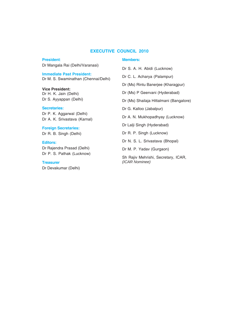#### **EXECUTIVE COUNCIL 2010**

## **President**:

Dr Mangala Rai (Delhi/Varanasi)

#### **Immediate Past President:**

Dr M. S. Swaminathan (Chennai/Delhi)

#### **Vice President:** Dr H. K. Jain (Delhi)

Dr S. Ayyappan (Delhi)

### **Secretaries:**

Dr P. K. Aggarwal (Delhi) Dr A. K. Srivastava (Karnal)

**Foreign Secretaries:** Dr R. B. Singh (Delhi)

### **Editors:** Dr Rajendra Prasad (Delhi) Dr P. S. Pathak (Lucknow)

**Treasurer** Dr Devakumar (Delhi)

#### **Members:**

Dr S. A. H. Abidi (Lucknow) Dr C. L. Acharya (Palampur) Dr (Ms) Rintu Banerjee (Kharagpur) Dr (Ms) P Geervani (Hyderabad) Dr (Ms) Shailaja Hittalmani (Bangalore) Dr G. Kalloo (Jabalpur) Dr A. N. Mukhopadhyay (Lucknow) Dr Lalji Singh (Hyderabad) Dr R. P. Singh (Lucknow) Dr N. S. L. Srivastava (Bhopal) Dr M. P. Yadav (Gurgaon)

Sh Rajiv Mehrishi, Secretary, ICAR, *(ICAR Nominee)*